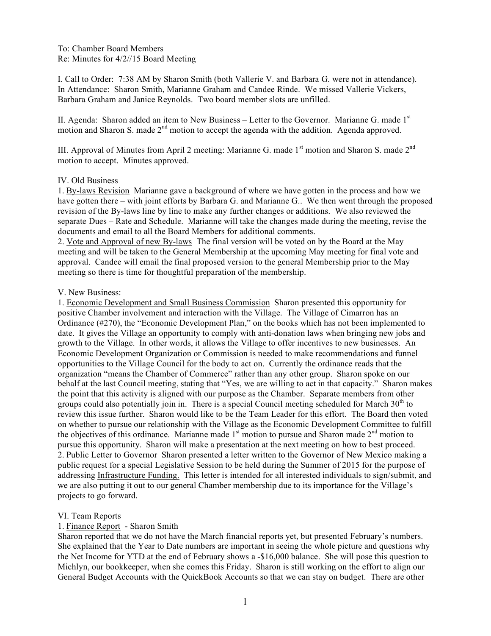To: Chamber Board Members Re: Minutes for 4/2//15 Board Meeting

I. Call to Order: 7:38 AM by Sharon Smith (both Vallerie V. and Barbara G. were not in attendance). In Attendance: Sharon Smith, Marianne Graham and Candee Rinde. We missed Vallerie Vickers, Barbara Graham and Janice Reynolds. Two board member slots are unfilled.

II. Agenda: Sharon added an item to New Business – Letter to the Governor. Marianne G. made 1<sup>st</sup> motion and Sharon S. made 2<sup>nd</sup> motion to accept the agenda with the addition. Agenda approved.

III. Approval of Minutes from April 2 meeting: Marianne G. made  $1<sup>st</sup>$  motion and Sharon S. made  $2<sup>nd</sup>$ motion to accept. Minutes approved.

# IV. Old Business

1. By-laws Revision Marianne gave a background of where we have gotten in the process and how we have gotten there – with joint efforts by Barbara G. and Marianne G.. We then went through the proposed revision of the By-laws line by line to make any further changes or additions. We also reviewed the separate Dues – Rate and Schedule. Marianne will take the changes made during the meeting, revise the documents and email to all the Board Members for additional comments.

2. Vote and Approval of new By-laws The final version will be voted on by the Board at the May meeting and will be taken to the General Membership at the upcoming May meeting for final vote and approval. Candee will email the final proposed version to the general Membership prior to the May meeting so there is time for thoughtful preparation of the membership.

#### V. New Business:

1. Economic Development and Small Business Commission Sharon presented this opportunity for positive Chamber involvement and interaction with the Village. The Village of Cimarron has an Ordinance (#270), the "Economic Development Plan," on the books which has not been implemented to date. It gives the Village an opportunity to comply with anti-donation laws when bringing new jobs and growth to the Village. In other words, it allows the Village to offer incentives to new businesses. An Economic Development Organization or Commission is needed to make recommendations and funnel opportunities to the Village Council for the body to act on. Currently the ordinance reads that the organization "means the Chamber of Commerce" rather than any other group. Sharon spoke on our behalf at the last Council meeting, stating that "Yes, we are willing to act in that capacity." Sharon makes the point that this activity is aligned with our purpose as the Chamber. Separate members from other groups could also potentially join in. There is a special Council meeting scheduled for March  $30<sup>th</sup>$  to review this issue further. Sharon would like to be the Team Leader for this effort. The Board then voted on whether to pursue our relationship with the Village as the Economic Development Committee to fulfill the objectives of this ordinance. Marianne made  $1<sup>st</sup>$  motion to pursue and Sharon made  $2<sup>nd</sup>$  motion to pursue this opportunity. Sharon will make a presentation at the next meeting on how to best proceed. 2. Public Letter to Governor Sharon presented a letter written to the Governor of New Mexico making a public request for a special Legislative Session to be held during the Summer of 2015 for the purpose of addressing Infrastructure Funding. This letter is intended for all interested individuals to sign/submit, and we are also putting it out to our general Chamber membership due to its importance for the Village's projects to go forward.

## VI. Team Reports

## 1. Finance Report - Sharon Smith

Sharon reported that we do not have the March financial reports yet, but presented February's numbers. She explained that the Year to Date numbers are important in seeing the whole picture and questions why the Net Income for YTD at the end of February shows a -\$16,000 balance. She will pose this question to Michlyn, our bookkeeper, when she comes this Friday. Sharon is still working on the effort to align our General Budget Accounts with the QuickBook Accounts so that we can stay on budget. There are other